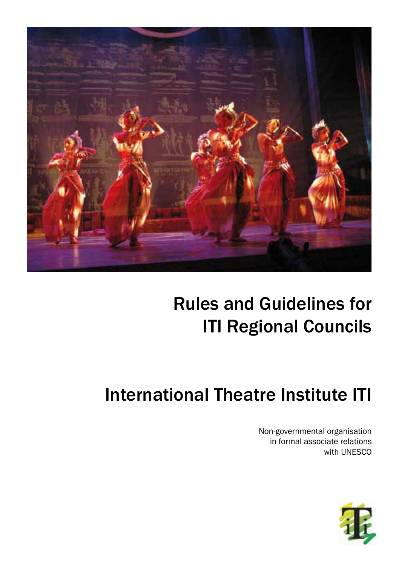

## Rules and Guidelines for ITI Regional Councils

# International Theatre Institute ITI

Non-governmental organisation in formal associate relations with UNESCO

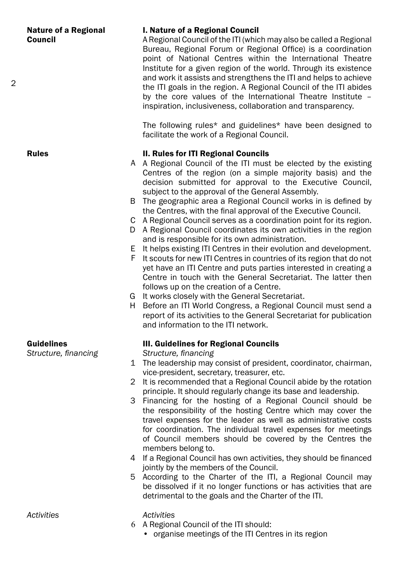#### I. Nature of a Regional Council

A Regional Council of the ITI (which may also be called a Regional Bureau, Regional Forum or Regional Office) is a coordination point of National Centres within the International Theatre Institute for a given region of the world. Through its existence and work it assists and strengthens the ITI and helps to achieve the ITI goals in the region. A Regional Council of the ITI abides by the core values of the International Theatre Institute – inspiration, inclusiveness, collaboration and transparency.

The following rules\* and guidelines\* have been designed to facilitate the work of a Regional Council.

#### II. Rules for ITI Regional Councils

- A Regional Council of the ITI must be elected by the existing A Centres of the region (on a simple majority basis) and the decision submitted for approval to the Executive Council, subject to the approval of the General Assembly.
- The geographic area a Regional Council works in is defined by B the Centres, with the final approval of the Executive Council.
- A Regional Council serves as a coordination point for its region. C
- D A Regional Council coordinates its own activities in the region and is responsible for its own administration.
- E It helps existing ITI Centres in their evolution and development.
- F It scouts for new ITI Centres in countries of its region that do not yet have an ITI Centre and puts parties interested in creating a Centre in touch with the General Secretariat. The latter then follows up on the creation of a Centre.
- G It works closely with the General Secretariat.
- H Before an ITI World Congress, a Regional Council must send a report of its activities to the General Secretariat for publication and information to the ITI network.

#### Guidelines

*Structure, financing*

### III. Guidelines for Regional Councils

*Structure, financing*

- The leadership may consist of president, coordinator, chairman, 1 vice-president, secretary, treasurer, etc.
- 2 It is recommended that a Regional Council abide by the rotation principle. It should regularly change its base and leadership.
- Financing for the hosting of a Regional Council should be 3 the responsibility of the hosting Centre which may cover the travel expenses for the leader as well as administrative costs for coordination. The individual travel expenses for meetings of Council members should be covered by the Centres the members belong to.
- 4 If a Regional Council has own activities, they should be financed jointly by the members of the Council.
- 5 According to the Charter of the ITI, a Regional Council may be dissolved if it no longer functions or has activities that are detrimental to the goals and the Charter of the ITI.

*Activities*

- *Activities*
- A Regional Council of the ITI should: 6
	- organise meetings of the ITI Centres in its region

 $\mathfrak{D}$ 

Rules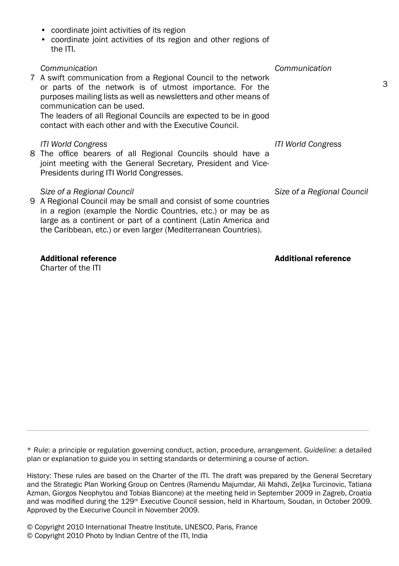• coordinate joint activities of its region and other regions of the ITI*. Communication* A swift communication from a Regional Council to the network 7 or parts of the network is of utmost importance. For the purposes mailing lists as well as newsletters and other means of communication can be used. The leaders of all Regional Councils are expected to be in good contact with each other and with the Executive Council. *ITI World Congress* joint meeting with the General Secretary, President and Vice-Presidents during ITI World Congresses. *Size of a Regional Council* 9 A Regional Council may be small and consist of some countries in a region (example the Nordic Countries, etc.) or may be as large as a continent or part of a continent (Latin America and the Caribbean, etc.) or even larger (Mediterranean Countries). *Communication ITI World Congress Size of a Regional Council*

#### Additional reference

Charter of the ITI

\* *Rule*: a principle or regulation governing conduct, action, procedure, arrangement. *Guideline*: a detailed plan or explanation to guide you in setting standards or determining a course of action.

History: These rules are based on the Charter of the ITI. The draft was prepared by the General Secretary and the Strategic Plan Working Group on Centres (Ramendu Majumdar, Ali Mahdi, Zeljka Turcinovic, Tatiana Azman, Giorgos Neophytou and Tobias Biancone) at the meeting held in September 2009 in Zagreb, Croatia and was modified during the 129th Executive Council session, held in Khartoum, Soudan, in October 2009. Approved by the Execurive Council in November 2009.

© Copyright 2010 International Theatre Institute, UNESCO, Paris, France © Copyright 2010 Photo by Indian Centre of the ITI, India

• coordinate joint activities of its region

- The office bearers of all Regional Councils should have a 8
	-

## Additional reference